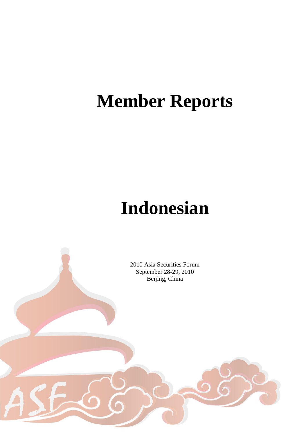# **Member Reports**

# **Indonesian**

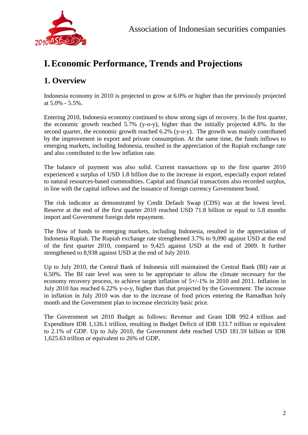

# **I.Economic Performance, Trends and Projections**

## **1. Overview**

Indonesia economy in 2010 is projected to grow at 6.0% or higher than the previously projected at  $5.0\% - 5.5\%$ .

Entering 2010, Indonesia economy continued to show strong sign of recovery. In the first quarter, the economic growth reached 5.7% (y-o-y), higher than the initially projected 4.8%. In the second quarter, the economic growth reached 6.2% (y-o-y). The growth was mainly contributed by the improvement in export and private consumption. At the same time, the funds inflows to emerging markets, including Indonesia, resulted in the appreciation of the Rupiah exchange rate and also contributed to the low inflation rate.

The balance of payment was also solid. Current transactions up to the first quarter 2010 experienced a surplus of USD 1.8 billion due to the increase in export, especially export related to natural resources-based commodities. Capital and financial transactions also recorded surplus, in line with the capital inflows and the issuance of foreign currency Government bond.

The risk indicator as demonstrated by Credit Default Swap (CDS) was at the lowest level. Reserve at the end of the first quarter 2010 reached USD 71.8 billion or equal to 5.8 months import and Government foreign debt repayment.

The flow of funds to emerging markets, including Indonesia, resulted in the appreciation of Indonesia Rupiah. The Rupiah exchange rate strengthened 3.7% to 9,090 against USD at the end of the first quarter 2010, compared to 9,425 against USD at the end of 2009. It further strengthened to 8,938 against USD at the end of July 2010.

Up to July 2010, the Central Bank of Indonesia still maintained the Central Bank (BI) rate at 6.50%. The BI rate level was seen to be appropriate to allow the climate necessary for the economy recovery process, to achieve target inflation of 5+/-1% in 2010 and 2011. Inflation in July 2010 has reached 6.22% y-o-y, higher than that projected by the Government. The increase in inflation in July 2010 was due to the increase of food prices entering the Ramadhan holy month and the Government plan to increase electricity basic price.

The Government set 2010 Budget as follows: Revenue and Grant IDR 992.4 trillion and Expenditure IDR 1,126.1 trillion, resulting in Budget Deficit of IDR 133.7 trillion or equivalent to 2.1% of GDP. Up to July 2010, the Government debt reached USD 181.59 billion or IDR 1,625.63 trillion or equivalent to 26% of GDP**.**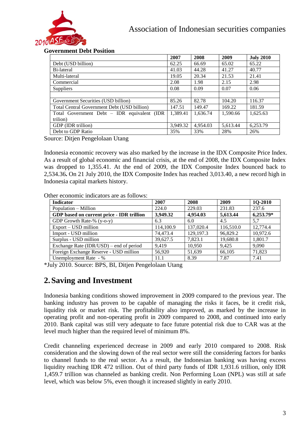

#### **Government Debt Position**

|                                             | 2007     | 2008     | 2009     | <b>July 2010</b> |
|---------------------------------------------|----------|----------|----------|------------------|
| Debt (USD billion)                          | 62.25    | 66.69    | 65.02    | 65.22            |
| Bi-lateral                                  | 41.03    | 44.28    | 41.27    | 40.77            |
| Multi-lateral                               | 19.05    | 20.34    | 21.53    | 21.41            |
| Commercial                                  | 2.08     | 1.98     | 2.15     | 2.98             |
| <b>Suppliers</b>                            | 0.08     | 0.09     | 0.07     | 0.06             |
|                                             |          |          |          |                  |
| Government Securities (USD billion)         | 85.26    | 82.78    | 104.20   | 116.37           |
| Total Central Government Debt (USD billion) | 147.51   | 149.47   | 169.22   | 181.59           |
| Total Government Debt – IDR equivalent (IDR | 1.389.41 | 1,636.74 | 1,590.66 | 1,625.63         |
| trilion)                                    |          |          |          |                  |
| GDP (IDR trillion)                          | 3,949.32 | 4,954.03 | 5,613.44 | 6,253.79         |
| Debt to GDP Ratio                           | 35%      | 33%      | 28%      | 26%              |

Source: Ditjen Pengelolaan Utang

Indonesia economic recovery was also marked by the increase in the IDX Composite Price Index. As a result of global economic and financial crisis, at the end of 2008, the IDX Composite Index was dropped to 1,355.41. At the end of 2009, the IDX Composite Index bounced back to 2,534.36**.** On 21 July 2010, the IDX Composite Index has reached 3,013.40, a new record high in Indonesia capital markets history.

| Other economic indicators are as follows: |  |  |
|-------------------------------------------|--|--|
|                                           |  |  |

| <b>Indicator</b>                          | 2007      | 2008      | 2009      | <b>1Q-2010</b> |
|-------------------------------------------|-----------|-----------|-----------|----------------|
| Population – Million                      | 224.0     | 229.03    | 231.83    | 237.6          |
| GDP based on current price - IDR trillion | 3,949.32  | 4,954.03  | 5,613.44  | $6,253.79*$    |
| GDP Growth Rate-% (y-o-y)                 | 6.3       | 6.0       | 4.5       | 5,7            |
| Export – USD million                      | 114,100.9 | 137,020.4 | 116,510.0 | 12,774.4       |
| Import - USD million                      | 74,473.4  | 129,197.3 | 96,829.2  | 10,972.6       |
| Surplus - USD million                     | 39,627.5  | 7.823.1   | 19,680.8  | 1,801.7        |
| Exchange Rate (IDR/USD) – end of period   | 9.419     | 10,950    | 9.425     | 9,090          |
| Foreign Exchange Reserve - USD million    | 56,920    | 51,639    | 66,105    | 71,823         |
| Unemployment Rate - %                     | 11.1      | 8.39      | 7.87      | 7.41           |

\*July 2010. Source: BPS, BI, Ditjen Pengelolaan Utang

## **2.Saving and Investment**

Indonesia banking conditions showed improvement in 2009 compared to the previous year. The banking industry has proven to be capable of managing the risks it faces, be it credit risk, liquidity risk or market risk. The profitability also improved, as marked by the increase in operating profit and non-operating profit in 2009 compared to 2008, and continued into early 2010. Bank capital was still very adequate to face future potential risk due to CAR was at the level much higher than the required level of minimum 8%.

Credit channeling experienced decrease in 2009 and early 2010 compared to 2008. Risk consideration and the slowing down of the real sector were still the considering factors for banks to channel funds to the real sector. As a result, the Indonesian banking was having excess liquidity reaching IDR 472 trillion. Out of third party funds of IDR 1,931.6 trillion, only IDR 1,459.7 trillion was channeled as banking credit. Non Performing Loan (NPL) was still at safe level, which was below 5%, even though it increased slightly in early 2010.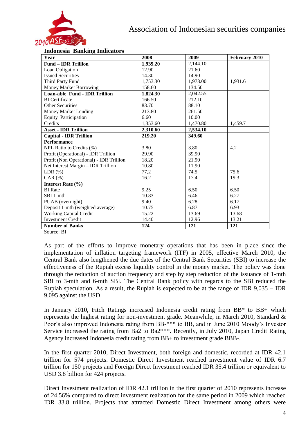

#### **Indonesia Banking Indicators**

| Year                                    | 2008     | 2009     | February 2010 |
|-----------------------------------------|----------|----------|---------------|
| <b>Fund – IDR Trillion</b>              | 1,939.20 | 2,144.10 |               |
| Loan Obligation                         | 12.90    | 21.60    |               |
| <b>Issued Securities</b>                | 14.30    | 14.90    |               |
| Third Party Fund                        | 1.753.30 | 1,973.00 | 1,931.6       |
| Money Market Borrowing                  | 158.60   | 134.50   |               |
| Loan-able Fund - IDR Trillion           | 1,824.30 | 2,042.55 |               |
| <b>BI</b> Certificate                   | 166.50   | 212.10   |               |
| <b>Other Securities</b>                 | 83.70    | 88.10    |               |
| Money Market Lending                    | 213.80   | 261.50   |               |
| <b>Equity Participation</b>             | 6.60     | 10.00    |               |
| Credits                                 | 1,353.60 | 1,470.80 | 1,459.7       |
| <b>Asset - IDR Trillion</b>             | 2,310.60 | 2,534.10 |               |
| <b>Capital - IDR Trillion</b>           | 219.20   | 349.60   |               |
| <b>Performance</b>                      |          |          |               |
| NPL Ratio to Credits (%)                | 3.80     | 3.80     | 4.2           |
| Profit (Operational) - IDR Trillion     | 29.90    | 39.90    |               |
| Profit (Non Operational) - IDR Trillion | 18.20    | 21.90    |               |
| Net Interest Margin - IDR Trillion      | 10.80    | 11.90    |               |
| LDR(%)                                  | 77,2     | 74.5     | 75.6          |
| $CAR$ $(\%)$                            | 16.2     | 17.4     | 19.3          |
| Interest Rate $(\% )$                   |          |          |               |
| <b>BI</b> Rate                          | 9.25     | 6.50     | 6.50          |
| SBI 1-mth                               | 10.83    | 6.46     | 6.27          |
| PUAB (overnight)                        | 9.40     | 6.28     | 6.17          |
| Deposit 1-mth (weighted average)        | 10.75    | 6.87     | 6.93          |
| <b>Working Capital Credit</b>           | 15.22    | 13.69    | 13.68         |
| <b>Investment Credit</b>                | 14.40    | 12.96    | 13.21         |
| <b>Number of Banks</b>                  | 124      | 121      | 121           |

Source: BI

As part of the efforts to improve monetary operations that has been in place since the implementation of inflation targeting framework (ITF) in 2005, effective March 2010, the Central Bank also lengthened the due dates of the Central Bank Securities (SBI) to increase the effectiveness of the Rupiah excess liquidity control in the money market. The policy was done through the reduction of auction frequency and step by step reduction of the issuance of 1-mth SBI to 3-mth and 6-mth SBI. The Central Bank policy with regards to the SBI reduced the Rupiah speculation. As a result, the Rupiah is expected to be at the range of IDR 9,035 – IDR 9,095 against the USD.

In January 2010, Fitch Ratings increased Indonesia credit rating from BB\* to BB+ which represents the highest rating for non-investment grade. Meanwhile, in March 2010, Standard & Poor's also improved Indonesia rating from BB-\*\*\* to BB, and in June 2010 Moody's Investor Service increased the rating from Ba2 to Ba2\*\*\*. Recently, in July 2010, Japan Credit Rating Agency increased Indonesia credit rating from BB+ to investment grade BBB-.

In the first quarter 2010, Direct Investment, both foreign and domestic, recorded at IDR 42.1 trillion for 574 projects. Domestic Direct Investment reached investment value of IDR 6.7 trillion for 150 projects and Foreign Direct Investment reached IDR 35.4 trillion or equivalent to USD 3.8 billion for 424 projects.

Direct Investment realization of IDR 42.1 trillion in the first quarter of 2010 represents increase of 24.56% compared to direct investment realization for the same period in 2009 which reached IDR 33.8 trillion. Projects that attracted Domestic Direct Investment among others were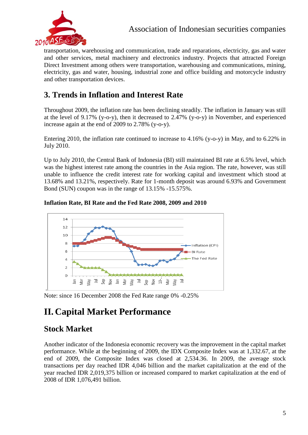

transportation, warehousing and communication, trade and reparations, electricity, gas and water and other services, metal machinery and electronics industry. Projects that attracted Foreign Direct Investment among others were transportation, warehousing and communications, mining, electricity, gas and water, housing, industrial zone and office building and motorcycle industry and other transportation devices.

## **3. Trends in Inflation and Interest Rate**

Throughout 2009, the inflation rate has been declining steadily. The inflation in January was still at the level of 9.17% (y-o-y), then it decreased to 2.47% (y-o-y) in November, and experienced increase again at the end of 2009 to 2.78% (y-o-y).

Entering 2010, the inflation rate continued to increase to 4.16% (y-o-y) in May, and to 6.22% in July 2010.

Up to July 2010, the Central Bank of Indonesia (BI) still maintained BI rate at 6.5% level, which was the highest interest rate among the countries in the Asia region. The rate, however, was still unable to influence the credit interest rate for working capital and investment which stood at 13.68% and 13.21%, respectively. Rate for 1-month deposit was around 6.93% and Government Bond (SUN) coupon was in the range of 13.15% -15.575%.

#### **Inflation Rate, BI Rate and the Fed Rate 2008, 2009 and 2010**



Note: since 16 December 2008 the Fed Rate range 0% -0.25%

# **II. Capital Market Performance**

## **Stock Market**

Another indicator of the Indonesia economic recovery was the improvement in the capital market performance. While at the beginning of 2009, the IDX Composite Index was at 1,332.67, at the end of 2009, the Composite Index was closed at 2,534.36. In 2009, the average stock transactions per day reached IDR 4,046 billion and the market capitalization at the end of the year reached IDR 2,019,375 billion or increased compared to market capitalization at the end of 2008 of IDR 1,076,491 billion.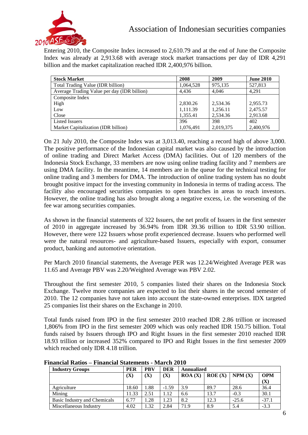

Entering 2010, the Composite Index increased to 2,610.79 and at the end of June the Composite Index was already at 2,913.68 with average stock market transactions per day of IDR 4,291 billion and the market capitalization reached IDR 2,400,976 billion.

| <b>Stock Market</b>                         | 2008      | 2009      | <b>June 2010</b> |
|---------------------------------------------|-----------|-----------|------------------|
| Total Trading Value (IDR billion)           | 1,064,528 | 975.135   | 527,813          |
| Average Trading Value per day (IDR billion) | 4.436     | 4.046     | 4.291            |
| Composite Index                             |           |           |                  |
| High                                        | 2,830.26  | 2,534.36  | 2,955.73         |
| Low                                         | 1.111.39  | 1,256.11  | 2,475.57         |
| Close                                       | 1.355.41  | 2.534.36  | 2,913.68         |
| <b>Listed Issuers</b>                       | 396       | 398       | 402              |
| Market Capitalization (IDR billion)         | 1,076,491 | 2.019.375 | 2,400,976        |

On 21 July 2010, the Composite Index was at 3,013.40, reaching a record high of above 3,000. The positive performance of the Indonesian capital market was also caused by the introduction of online trading and Direct Market Access (DMA) facilities. Out of 120 members of the Indonesia Stock Exchange, 33 members are now using online trading facility and 7 members are using DMA facility. In the meantime, 14 members are in the queue for the technical testing for online trading and 3 members for DMA. The introduction of online trading system has no doubt brought positive impact for the investing community in Indonesia in terms of trading access. The facility also encouraged securities companies to open branches in areas to reach investors. However, the online trading has also brought along a negative excess, i.e. the worsening of the fee war among securities companies.

As shown in the financial statements of 322 Issuers, the net profit of Issuers in the first semester of 2010 in aggregate increased by 36.94% from IDR 39.36 trillion to IDR 53.90 trillion. However, there were 122 Issuers whose profit experienced decrease. Issuers who performed well were the natural resources- and agriculture-based Issuers, especially with export, consumer product, banking and automotive orientation.

Per March 2010 financial statements, the Average PER was 12.24/Weighted Average PER was 11.65 and Average PBV was 2.20/Weighted Average was PBV 2.02.

Throughout the first semester 2010, 5 companies listed their shares on the Indonesia Stock Exchange. Twelve more companies are expected to list their shares in the second semester of 2010. The 12 companies have not taken into account the state-owned enterprises. IDX targeted 25 companies list their shares on the Exchange in 2010.

Total funds raised from IPO in the first semester 2010 reached IDR 2.86 trillion or increased 1,806% from IPO in the first semester 2009 which was only reached IDR 150.75 billion. Total funds raised by Issuers through IPO and Right Issues in the first semester 2010 reached IDR 18.93 trillion or increased 352% compared to IPO and Right Issues in the first semester 2009 which reached only IDR 4.18 trillion.

| <b>Industry Groups</b>              | <b>PER</b> | <b>PBV</b> | <b>DER</b> | Annualized |        |         |            |  |
|-------------------------------------|------------|------------|------------|------------|--------|---------|------------|--|
|                                     | (X)        | (X)        | (X)        | ROA(X)     | ROE(X) | NPM(X)  | <b>OPM</b> |  |
|                                     |            |            |            |            |        |         | (X)        |  |
| Agriculture                         | 18.60      | 1.88       | $-1.59$    | 3.9        | 89.7   | 28.6    | 36.4       |  |
| Mining                              | 11.33      | 2.51       | 1.12       | 6.6        | 13.7   | $-0.3$  | 30.1       |  |
| <b>Basic Industry and Chemicals</b> | 6.77       | 1.28       | 1.23       | 8.2        | 12.3   | $-25.6$ | $-37.1$    |  |
| Miscellaneous Industry              | 4.02       | 1.32       | 2.84       | 71.9       | 8.9    | 5.4     | $-3.3$     |  |

**Financial Ratios – Financial Statements - March 2010**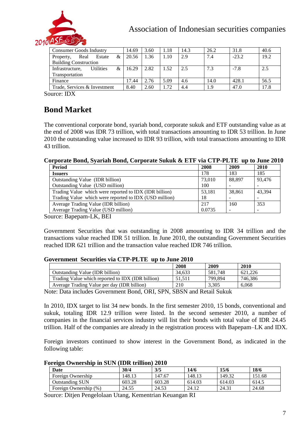

## Association of Indonesian securities companies

| Consumer Goods Industry                  | 14.69 | 3.60 | 1.18 | 14.3 | 26.2 | 31.8    | 40.6 |
|------------------------------------------|-------|------|------|------|------|---------|------|
| &<br>Real<br>Estate<br>Property,         | 20.56 | 1.36 | 1.10 | 2.9  | 7.4  | $-23.2$ | 19.2 |
| <b>Building Construction</b>             |       |      |      |      |      |         |      |
| <b>Utilities</b><br>&<br>Infrastructure. | 16.29 | 2.82 | 1.52 | 2.5  | 7.3  | $-7.8$  | 2.5  |
| Transportation                           |       |      |      |      |      |         |      |
| Finance                                  | 17.44 | 2.76 | 5.09 | 4.6  | 14.0 | 428.1   | 56.5 |
| Trade, Services & Investment             | 8.40  | 2.60 | .72  | 4.4  | 1.9  | 47.0    | 17.8 |

Source: IDX

## **Bond Market**

The conventional corporate bond, syariah bond, corporate sukuk and ETF outstanding value as at the end of 2008 was IDR 73 trillion, with total transactions amounting to IDR 53 trillion. In June 2010 the outstanding value increased to IDR 93 trillion, with total transactions amounting to IDR 43 trillion.

#### **Corporate Bond, Syariah Bond, Corporate Sukuk & ETF via CTP-PLTE up to June 2010**

| Period                                                 | 2008   | 2009   | 2010   |
|--------------------------------------------------------|--------|--------|--------|
| <b>Issuers</b>                                         | 178    | 183    | 185    |
| Outstanding Value (IDR billion)                        | 73,010 | 88.897 | 93.476 |
| Outstanding Value (USD million)                        | 100    |        |        |
| Trading Value which were reported to IDX (IDR billion) | 53.181 | 38.861 | 43.394 |
| Trading Value which were reported to IDX (USD million) | 18     |        |        |
| Average Trading Value (IDR billion)                    | 217    | 160    | 353    |
| Average Trading Value (USD million)                    | 0.0735 |        |        |

Source: Bapepam-LK, BEI

Government Securities that was outstanding in 2008 amounting to IDR 34 trillion and the transactions value reached IDR 51 trillion. In June 2010, the outstanding Government Securities reached IDR 621 trillion and the transaction value reached IDR 746 trillion.

#### **Government Securities via CTP-PLTE up to June 2010**

| 34.633                                                                                                                                                                                                                                                                                                                             | 581.748 | 621.226                                                       |
|------------------------------------------------------------------------------------------------------------------------------------------------------------------------------------------------------------------------------------------------------------------------------------------------------------------------------------|---------|---------------------------------------------------------------|
| 51.511                                                                                                                                                                                                                                                                                                                             |         | 746.386                                                       |
| 210                                                                                                                                                                                                                                                                                                                                |         | 6.068                                                         |
| $\mathbf{R}$ $\mathbf{R}$ $\mathbf{R}$ $\mathbf{R}$ $\mathbf{R}$ $\mathbf{R}$ $\mathbf{R}$ $\mathbf{R}$ $\mathbf{R}$ $\mathbf{R}$ $\mathbf{R}$ $\mathbf{R}$ $\mathbf{R}$ $\mathbf{R}$ $\mathbf{R}$ $\mathbf{R}$ $\mathbf{R}$ $\mathbf{R}$ $\mathbf{R}$ $\mathbf{R}$ $\mathbf{R}$ $\mathbf{R}$ $\mathbf{R}$ $\mathbf{R}$ $\mathbf{$ |         | 799.894<br>3.305<br>$\sim$ $\sim$ $\sim$ $\sim$ $\sim$ $\sim$ |

Note: Data includes Government Bond, ORI, SPN, SBSN and Retail Sukuk

In 2010, IDX target to list 34 new bonds. In the first semester 2010, 15 bonds, conventional and sukuk, totaling IDR 12.9 trillion were listed. In the second semester 2010, a number of companies in the financial services industry will list their bonds with total value of IDR 24.45 trillion. Half of the companies are already in the registration process with Bapepam–LK and IDX.

Foreign investors continued to show interest in the Government Bond, as indicated in the following table:

| Foreign Ownership in SUN (IDR trillion) 2010 |  |  |  |
|----------------------------------------------|--|--|--|
|                                              |  |  |  |

| Date                   | 30/4   | 3/5    | 14/6   | 15/6   | 18/6   |
|------------------------|--------|--------|--------|--------|--------|
| Foreign Ownership      | 148.13 | 147.67 | 148.13 | 149.32 | 151.68 |
| <b>Outstanding SUN</b> | 603.28 | 603.28 | 614.03 | 614.03 | 614.5  |
| Foreign Ownership (%)  | 24.55  | 24.53  | 24.12  | 24.31  | 24.68  |

Source: Ditjen Pengelolaan Utang, Kementrian Keuangan RI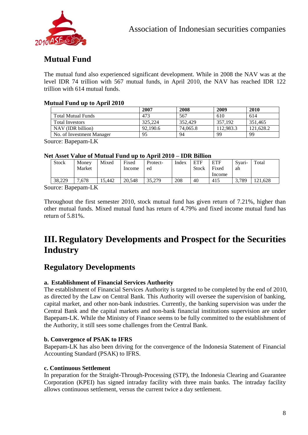

## **Mutual Fund**

The mutual fund also experienced significant development. While in 2008 the NAV was at the level IDR 74 trillion with 567 mutual funds, in April 2010, the NAV has reached IDR 122 trillion with 614 mutual funds.

#### **Mutual Fund up to April 2010**

|                           | 2007     | 2008     | 2009      | 2010      |
|---------------------------|----------|----------|-----------|-----------|
| Total Mutual Funds        | 473      | 567      | 610       | 614       |
| <b>Total Investors</b>    | 325.224  | 352,429  | 357.192   | 351,465   |
| NAV (IDR billion)         | 92.190.6 | 74,065.8 | 112.983.3 | 121.628.2 |
| No. of Investment Manager | 95       | 94       | 99        | 99        |

Source: Bapepam-LK

#### **Net Asset Value of Mutual Fund up to April 2010 – IDR Billion**

| <b>Stock</b> | Money  | Mixed  | Fixed  | Protect- | Index | <b>ETF</b>   | <b>ETF</b> | Svari- | Total  |  |
|--------------|--------|--------|--------|----------|-------|--------------|------------|--------|--------|--|
|              | Market |        | Income | ed       |       | <b>Stock</b> | Fixed      | ah     |        |  |
|              |        |        |        |          |       |              | Income     |        |        |  |
| 38.229       | .678   | 15.442 | 20.548 | 35,279   | 208   | 40           | 415        | 3.789  | 21.628 |  |
| T.           | T T    |        |        |          |       |              |            |        |        |  |

Source: Bapepam-LK

Throughout the first semester 2010, stock mutual fund has given return of 7.21%, higher than other mutual funds. Mixed mutual fund has return of 4.79% and fixed income mutual fund has return of 5.81%.

## **III. Regulatory Developments and Prospect for the Securities Industry**

## **Regulatory Developments**

#### **a. Establishment of Financial Services Authority**

The establishment of Financial Services Authority is targeted to be completed by the end of 2010, as directed by the Law on Central Bank. This Authority will oversee the supervision of banking, capital market, and other non-bank industries. Currently, the banking supervision was under the Central Bank and the capital markets and non-bank financial institutions supervision are under Bapepam-LK. While the Ministry of Finance seems to be fully committed to the establishment of the Authority, it still sees some challenges from the Central Bank.

#### **b. Convergence of PSAK to IFRS**

Bapepam-LK has also been driving for the convergence of the Indonesia Statement of Financial Accounting Standard (PSAK) to IFRS.

#### **c. Continuous Settlement**

In preparation for the Straight-Through-Processing (STP), the Indonesia Clearing and Guarantee Corporation (KPEI) has signed intraday facility with three main banks. The intraday facility allows continuous settlement, versus the current twice a day settlement.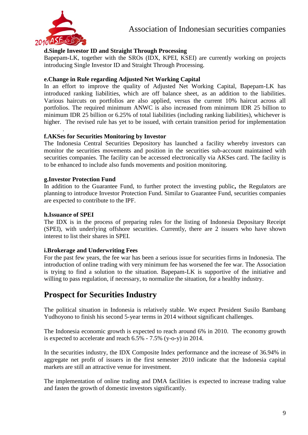

#### **d.Single Investor ID and Straight Through Processing**

Bapepam-LK, together with the SROs (IDX, KPEI, KSEI) are currently working on projects introducing Single Investor ID and Straight Through Processing.

#### **e.Change in Rule regarding Adjusted Net Working Capital**

In an effort to improve the quality of Adjusted Net Working Capital, Bapepam-LK has introduced ranking liabilities, which are off balance sheet, as an addition to the liabilities. Various haircuts on portfolios are also applied, versus the current 10% haircut across all portfolios. The required minimum ANWC is also increased from minimum IDR 25 billion to minimum IDR 25 billion or 6.25% of total liabilities (including ranking liabilities), whichever is higher. The revised rule has yet to be issued, with certain transition period for implementation

#### . **f.AKSes for Securities Monitoring by Investor**

The Indonesia Central Securities Depository has launched a facility whereby investors can monitor the securities movements and position in the securities sub-account maintained with securities companies. The facility can be accessed electronically via AKSes card. The facility is to be enhanced to include also funds movements and position monitoring.

#### **g.Investor Protection Fund**

In addition to the Guarantee Fund, to further protect the investing public**,** the Regulators are planning to introduce Investor Protection Fund. Similar to Guarantee Fund, securities companies are expected to contribute to the IPF.

#### **h.Issuance of SPEI**

The IDX is in the process of preparing rules for the listing of Indonesia Depositary Receipt (SPEI), with underlying offshore securities. Currently, there are 2 issuers who have shown interest to list their shares in SPEI.

#### **i.Brokerage and Underwriting Fees**

For the past few years, the fee war has been a serious issue for securities firms in Indonesia. The introduction of online trading with very minimum fee has worsened the fee war. The Association is trying to find a solution to the situation. Bapepam-LK is supportive of the initiative and willing to pass regulation, if necessary, to normalize the situation, for a healthy industry.

### **Prospect for Securities Industry**

The political situation in Indonesia is relatively stable. We expect President Susilo Bambang Yudhoyono to finish his second 5-year terms in 2014 without significant challenges.

The Indonesia economic growth is expected to reach around 6% in 2010. The economy growth is expected to accelerate and reach 6.5% - 7.5% (y-o-y) in 2014.

In the securities industry, the IDX Composite Index performance and the increase of 36.94% in aggregate net profit of issuers in the first semester 2010 indicate that the Indonesia capital markets are still an attractive venue for investment.

The implementation of online trading and DMA facilities is expected to increase trading value and fasten the growth of domestic investors significantly.